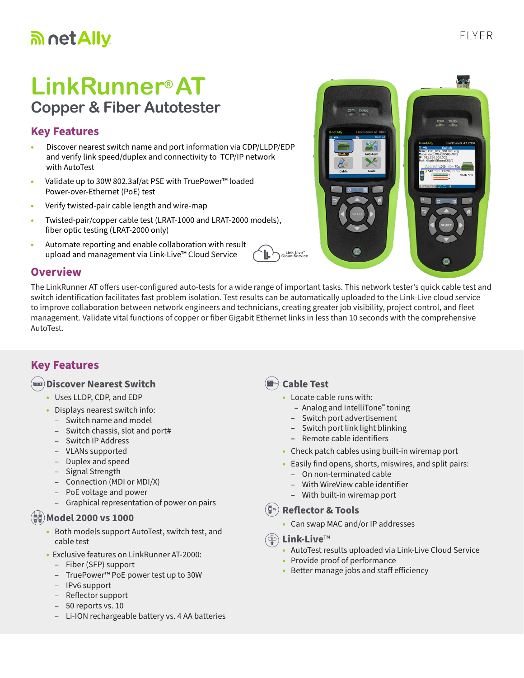# an net Ally

# **LinkRunner® AT Copper & Fiber Autotester**

### **Key Features**

- Discover nearest switch name and port information via CDP/LLDP/EDP and verify link speed/duplex and connectivity to TCP/IP network with AutoTest
- Validate up to 30W 802.3af/at PSE with TruePower™ loaded Power-over-Ethernet (PoE) test
- Verify twisted-pair cable length and wire-map
- Twisted-pair/copper cable test (LRAT-1000 and LRAT-2000 models), fiber optic testing (LRAT-2000 only)
- Automate reporting and enable collaboration with result upload and management via Link-Live™ Cloud Service



#### **Overview**

The LinkRunner AT offers user-configured auto-tests for a wide range of important tasks. This network tester's quick cable test and switch identification facilitates fast problem isolation. Test results can be automatically uploaded to the Link-Live cloud service to improve collaboration between network engineers and technicians, creating greater job visibility, project control, and fleet management. Validate vital functions of copper or fiber Gigabit Ethernet links in less than 10 seconds with the comprehensive AutoTest.

### **Key Features**

#### **Discover Nearest Switch**

- Uses LLDP, CDP, and EDP
- Displays nearest switch info:
	- Switch name and model
	- Switch chassis, slot and port#
	- Switch IP Address
	- VLANs supported
	- Duplex and speed
	- Signal Strength
	- Connection (MDI or MDI/X)
	- PoE voltage and power
	- Graphical representation of power on pairs

#### **Model 2000 vs 1000 1000 2000**

- Both models support AutoTest, switch test, and cable test
- Exclusive features on LinkRunner AT-2000:
	- Fiber (SFP) support
	- TruePower™ PoE power test up to 30W
	- IPv6 support
	- Reflector support
	- 50 reports vs. 10
	- Li-ION rechargeable battery vs. 4 AA batteries

#### **Cable Test**

Link-Live"<br>Cloud Service

- Locate cable runs with:
	- **–** Analog and IntelliTone™ toning
	- **–** Switch port advertisement
	- **–** Switch port link light blinking
	- **–** Remote cable identifiers
- Check patch cables using built-in wiremap port
- Easily find opens, shorts, miswires, and split pairs:
	- On non-terminated cable – With WireView cable identifier
	- With built-in wiremap port

#### **Reflector & Tools**

• Can swap MAC and/or IP addresses

#### **Link-Live**™

- AutoTest results uploaded via Link-Live Cloud Service
- Provide proof of performance
- Better manage jobs and staff efficiency